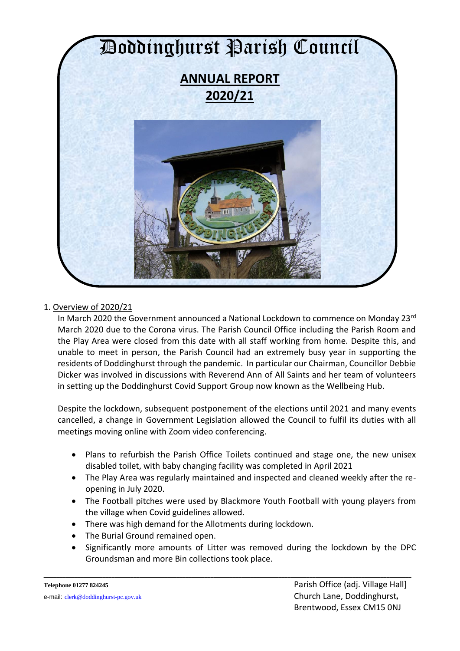

# 1. Overview of 2020/21

In March 2020 the Government announced a National Lockdown to commence on Monday 23rd March 2020 due to the Corona virus. The Parish Council Office including the Parish Room and the Play Area were closed from this date with all staff working from home. Despite this, and unable to meet in person, the Parish Council had an extremely busy year in supporting the residents of Doddinghurst through the pandemic. In particular our Chairman, Councillor Debbie Dicker was involved in discussions with Reverend Ann of All Saints and her team of volunteers in setting up the Doddinghurst Covid Support Group now known as the Wellbeing Hub.

Despite the lockdown, subsequent postponement of the elections until 2021 and many events cancelled, a change in Government Legislation allowed the Council to fulfil its duties with all meetings moving online with Zoom video conferencing.

- Plans to refurbish the Parish Office Toilets continued and stage one, the new unisex disabled toilet, with baby changing facility was completed in April 2021
- The Play Area was regularly maintained and inspected and cleaned weekly after the reopening in July 2020.
- The Football pitches were used by Blackmore Youth Football with young players from the village when Covid guidelines allowed.
- There was high demand for the Allotments during lockdown.
- The Burial Ground remained open.
- Significantly more amounts of Litter was removed during the lockdown by the DPC Groundsman and more Bin collections took place.

**\_\_\_\_\_\_\_\_\_\_\_\_\_\_\_\_\_\_\_\_\_\_\_\_\_\_\_\_\_\_\_\_\_\_\_\_\_\_\_\_\_\_\_\_\_\_\_\_\_\_\_\_\_\_\_\_\_\_\_\_\_\_\_\_\_\_\_\_\_\_\_\_\_\_\_\_\_\_\_\_\_\_\_\_\_\_\_\_\_\_\_\_\_\_\_\_\_\_\_\_\_\_\_\_\_\_\_\_\_\_\_\_\_\_\_\_\_\_\_**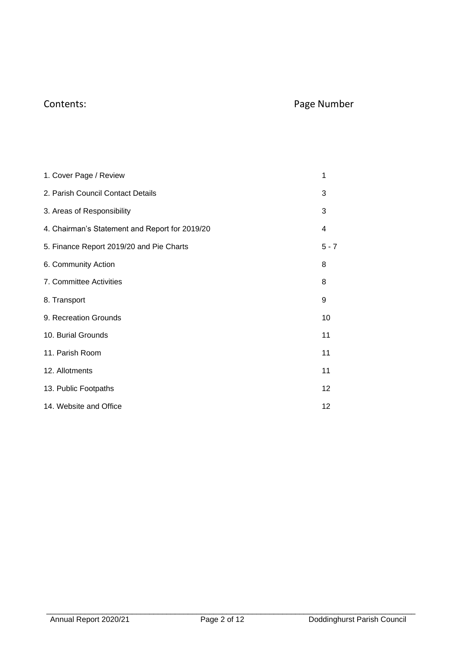# Contents: Page Number

| 1. Cover Page / Review                         | 1       |
|------------------------------------------------|---------|
| 2. Parish Council Contact Details              | 3       |
| 3. Areas of Responsibility                     | 3       |
| 4. Chairman's Statement and Report for 2019/20 | 4       |
| 5. Finance Report 2019/20 and Pie Charts       | $5 - 7$ |
| 6. Community Action                            | 8       |
| 7. Committee Activities                        | 8       |
| 8. Transport                                   | 9       |
| 9. Recreation Grounds                          | 10      |
| 10. Burial Grounds                             | 11      |
| 11. Parish Room                                | 11      |
| 12. Allotments                                 | 11      |
| 13. Public Footpaths                           | 12      |
| 14. Website and Office                         | 12      |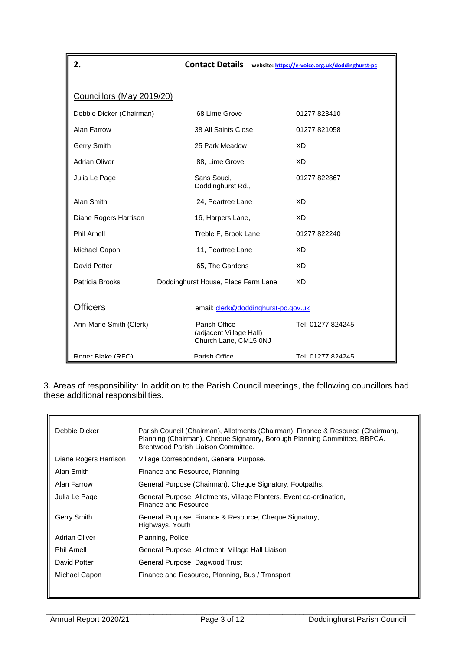| 2.                        | <b>Contact Details</b>                                            | website: https://e-voice.org.uk/doddinghurst-pc |
|---------------------------|-------------------------------------------------------------------|-------------------------------------------------|
|                           |                                                                   |                                                 |
| Councillors (May 2019/20) |                                                                   |                                                 |
| Debbie Dicker (Chairman)  | 68 Lime Grove                                                     | 01277 823410                                    |
| Alan Farrow               | 38 All Saints Close                                               | 01277 821058                                    |
| Gerry Smith               | 25 Park Meadow                                                    | XD                                              |
| <b>Adrian Oliver</b>      | 88, Lime Grove                                                    | <b>XD</b>                                       |
| Julia Le Page             | Sans Souci,<br>Doddinghurst Rd.,                                  | 01277 822867                                    |
| Alan Smith                | 24, Peartree Lane                                                 | <b>XD</b>                                       |
| Diane Rogers Harrison     | 16, Harpers Lane,                                                 | XD                                              |
| <b>Phil Arnell</b>        | Treble F, Brook Lane                                              | 01277 822240                                    |
| Michael Capon             | 11, Peartree Lane                                                 | XD                                              |
| David Potter              | 65, The Gardens                                                   | XD                                              |
| Patricia Brooks           | Doddinghurst House, Place Farm Lane                               | XD                                              |
| <b>Officers</b>           | email: clerk@doddinghurst-pc.gov.uk                               |                                                 |
| Ann-Marie Smith (Clerk)   | Parish Office<br>(adjacent Village Hall)<br>Church Lane, CM15 0NJ | Tel: 01277 824245                               |
| Roger Blake (RFO)         | Parish Office                                                     | Tel: 01277 824245                               |

3. Areas of responsibility: In addition to the Parish Council meetings, the following councillors had these additional responsibilities.

| Debbie Dicker         | Parish Council (Chairman), Allotments (Chairman), Finance & Resource (Chairman),<br>Planning (Chairman), Cheque Signatory, Borough Planning Committee, BBPCA.<br>Brentwood Parish Liaison Committee. |
|-----------------------|------------------------------------------------------------------------------------------------------------------------------------------------------------------------------------------------------|
| Diane Rogers Harrison | Village Correspondent, General Purpose.                                                                                                                                                              |
| Alan Smith            | Finance and Resource, Planning                                                                                                                                                                       |
| Alan Farrow           | General Purpose (Chairman), Cheque Signatory, Footpaths.                                                                                                                                             |
| Julia Le Page         | General Purpose, Allotments, Village Planters, Event co-ordination,<br>Finance and Resource                                                                                                          |
| Gerry Smith           | General Purpose, Finance & Resource, Cheque Signatory,<br>Highways, Youth                                                                                                                            |
| Adrian Oliver         | Planning, Police                                                                                                                                                                                     |
| <b>Phil Arnell</b>    | General Purpose, Allotment, Village Hall Liaison                                                                                                                                                     |
| David Potter          | General Purpose, Dagwood Trust                                                                                                                                                                       |
| Michael Capon         | Finance and Resource, Planning, Bus / Transport                                                                                                                                                      |
|                       |                                                                                                                                                                                                      |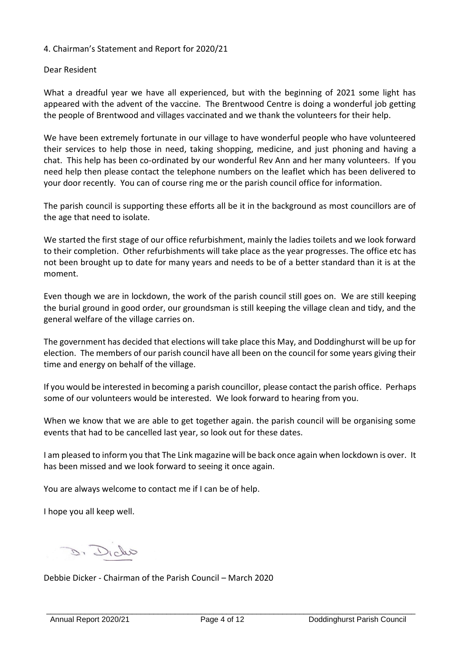### 4. Chairman's Statement and Report for 2020/21

#### Dear Resident

What a dreadful year we have all experienced, but with the beginning of 2021 some light has appeared with the advent of the vaccine. The Brentwood Centre is doing a wonderful job getting the people of Brentwood and villages vaccinated and we thank the volunteers for their help.

We have been extremely fortunate in our village to have wonderful people who have volunteered their services to help those in need, taking shopping, medicine, and just phoning and having a chat. This help has been co-ordinated by our wonderful Rev Ann and her many volunteers. If you need help then please contact the telephone numbers on the leaflet which has been delivered to your door recently. You can of course ring me or the parish council office for information.

The parish council is supporting these efforts all be it in the background as most councillors are of the age that need to isolate.

We started the first stage of our office refurbishment, mainly the ladies toilets and we look forward to their completion. Other refurbishments will take place as the year progresses. The office etc has not been brought up to date for many years and needs to be of a better standard than it is at the moment.

Even though we are in lockdown, the work of the parish council still goes on. We are still keeping the burial ground in good order, our groundsman is still keeping the village clean and tidy, and the general welfare of the village carries on.

The government has decided that elections will take place this May, and Doddinghurst will be up for election. The members of our parish council have all been on the council for some years giving their time and energy on behalf of the village.

If you would be interested in becoming a parish councillor, please contact the parish office. Perhaps some of our volunteers would be interested. We look forward to hearing from you.

When we know that we are able to get together again. the parish council will be organising some events that had to be cancelled last year, so look out for these dates.

I am pleased to inform you that The Link magazine will be back once again when lockdown is over. It has been missed and we look forward to seeing it once again.

You are always welcome to contact me if I can be of help.

I hope you all keep well.

D. Dicho

Debbie Dicker - Chairman of the Parish Council – March 2020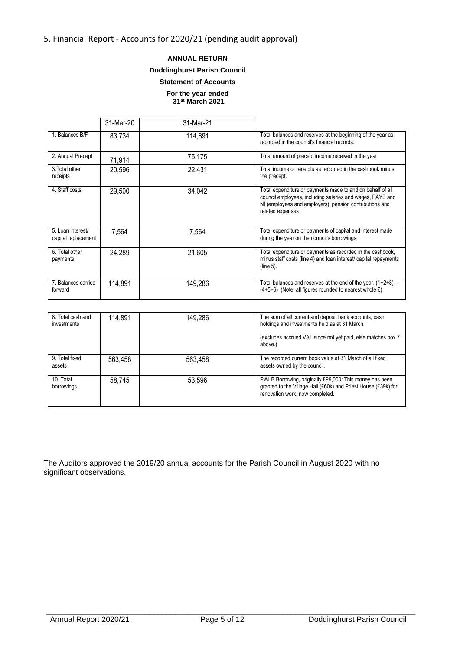### 5. Financial Report - Accounts for 2020/21 (pending audit approval)

#### **ANNUAL RETURN**

#### **Doddinghurst Parish Council**

#### **Statement of Accounts**

**For the year ended 31st March 2021**

|                                          | 31-Mar-20 | 31-Mar-21 |                                                                                                                                                                                                        |
|------------------------------------------|-----------|-----------|--------------------------------------------------------------------------------------------------------------------------------------------------------------------------------------------------------|
| 1. Balances B/F                          | 83,734    | 114,891   | Total balances and reserves at the beginning of the year as<br>recorded in the council's financial records.                                                                                            |
| 2. Annual Precept                        | 71,914    | 75,175    | Total amount of precept income received in the year.                                                                                                                                                   |
| 3. Total other<br>receipts               | 20,596    | 22,431    | Total income or receipts as recorded in the cashbook minus<br>the precept.                                                                                                                             |
| 4. Staff costs                           | 29,500    | 34,042    | Total expenditure or payments made to and on behalf of all<br>council employees, including salaries and wages, PAYE and<br>NI (employees and employers), pension contributions and<br>related expenses |
| 5. Loan interest/<br>capital replacement | 7,564     | 7,564     | Total expenditure or payments of capital and interest made<br>during the year on the council's borrowings.                                                                                             |
| 6. Total other<br>payments               | 24,289    | 21,605    | Total expenditure or payments as recorded in the cashbook,<br>minus staff costs (line 4) and loan interest/ capital repayments<br>$(line 5)$ .                                                         |
| 7. Balances carried<br>forward           | 114,891   | 149,286   | Total balances and reserves at the end of the year. (1+2+3) -<br>$(4+5+6)$ (Note: all figures rounded to nearest whole £)                                                                              |

| 8. Total cash and<br>investments | 114,891 | 149,286 | The sum of all current and deposit bank accounts, cash<br>holdings and investments held as at 31 March.<br>(excludes accrued VAT since not yet paid, else matches box 7)<br>above.) |
|----------------------------------|---------|---------|-------------------------------------------------------------------------------------------------------------------------------------------------------------------------------------|
| 9. Total fixed<br>assets         | 563.458 | 563.458 | The recorded current book value at 31 March of all fixed<br>assets owned by the council.                                                                                            |
| 10. Total<br>borrowings          | 58,745  | 53.596  | PWLB Borrowing, originally £99,000: This money has been<br>granted to the Village Hall (£60k) and Priest House (£39k) for<br>renovation work, now completed.                        |

The Auditors approved the 2019/20 annual accounts for the Parish Council in August 2020 with no significant observations.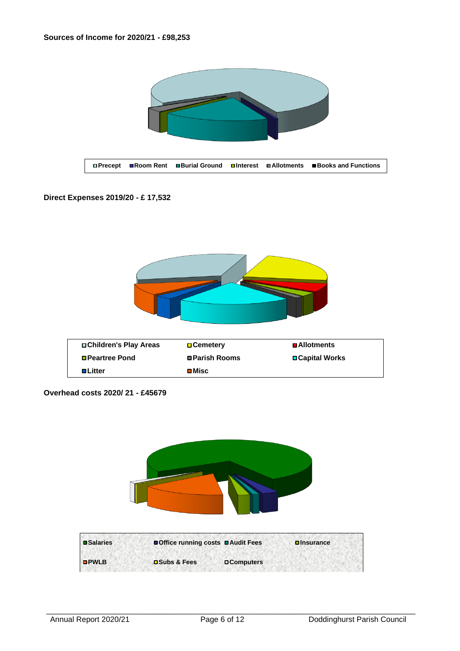

#### **Direct Expenses 2019/20 - £ 17,532**



| □ Children's Play Areas | <b>□ Cemetery</b>     | <b>■Allotments</b>     |
|-------------------------|-----------------------|------------------------|
| <b>□ Peartree Pond</b>  | <b>□ Parish Rooms</b> | <b>□ Capital Works</b> |
| <b>□Litter</b>          | <b>⊡</b> Misc         |                        |

**Overhead costs 2020/ 21 - £45679**

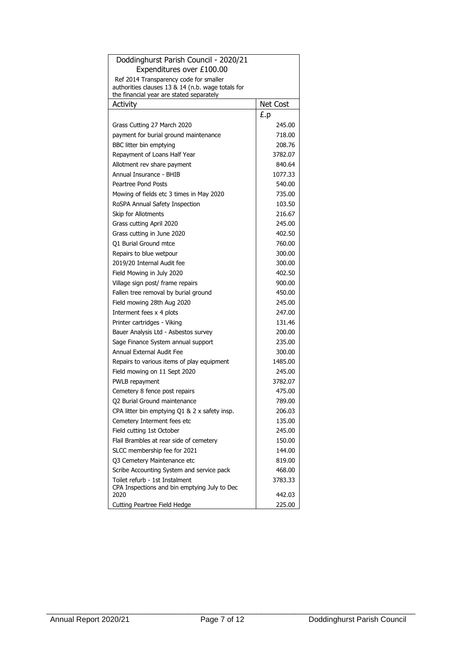| Doddinghurst Parish Council - 2020/21                                                       |                 |
|---------------------------------------------------------------------------------------------|-----------------|
| Expenditures over £100.00                                                                   |                 |
| Ref 2014 Transparency code for smaller<br>authorities clauses 13 & 14 (n.b. wage totals for |                 |
| the financial year are stated separately                                                    |                 |
| <b>Activity</b>                                                                             | <b>Net Cost</b> |
|                                                                                             | £.p             |
| Grass Cutting 27 March 2020                                                                 | 245.00          |
| payment for burial ground maintenance                                                       | 718.00          |
| BBC litter bin emptying                                                                     | 208.76          |
| Repayment of Loans Half Year                                                                | 3782.07         |
| Allotment rev share payment                                                                 | 840.64          |
| Annual Insurance - BHIB                                                                     | 1077.33         |
| Peartree Pond Posts                                                                         | 540.00          |
| Mowing of fields etc 3 times in May 2020                                                    | 735.00          |
| RoSPA Annual Safety Inspection                                                              | 103.50          |
| Skip for Allotments                                                                         | 216.67          |
| Grass cutting April 2020                                                                    | 245.00          |
| Grass cutting in June 2020                                                                  | 402.50          |
| Q1 Burial Ground mtce                                                                       | 760.00          |
| Repairs to blue wetpour                                                                     | 300.00          |
| 2019/20 Internal Audit fee                                                                  | 300.00          |
| Field Mowing in July 2020                                                                   | 402.50          |
| Village sign post/ frame repairs                                                            | 900.00          |
| Fallen tree removal by burial ground                                                        | 450.00          |
| Field mowing 28th Aug 2020                                                                  | 245.00          |
| Interment fees x 4 plots                                                                    | 247.00          |
| Printer cartridges - Viking                                                                 | 131.46          |
| Bauer Analysis Ltd - Asbestos survey                                                        | 200.00          |
| Sage Finance System annual support                                                          | 235.00          |
| Annual External Audit Fee                                                                   | 300.00          |
| Repairs to various items of play equipment                                                  | 1485.00         |
| Field mowing on 11 Sept 2020                                                                | 245.00          |
| PWLB repayment                                                                              | 3782.07         |
| Cemetery 8 fence post repairs                                                               | 475.00          |
| Q2 Burial Ground maintenance                                                                | 789.00          |
| CPA litter bin emptying Q1 & 2 x safety insp.                                               | 206.03          |
| Cemetery Interment fees etc                                                                 | 135.00          |
| Field cutting 1st October                                                                   | 245.00          |
| Flail Brambles at rear side of cemetery                                                     | 150.00          |
| SLCC membership fee for 2021                                                                | 144.00          |
| 03 Cemetery Maintenance etc                                                                 | 819.00          |
| Scribe Accounting System and service pack                                                   | 468.00          |
| Toilet refurb - 1st Instalment                                                              | 3783.33         |
| CPA Inspections and bin emptying July to Dec<br>2020                                        | 442.03          |
| Cutting Peartree Field Hedge                                                                | 225.00          |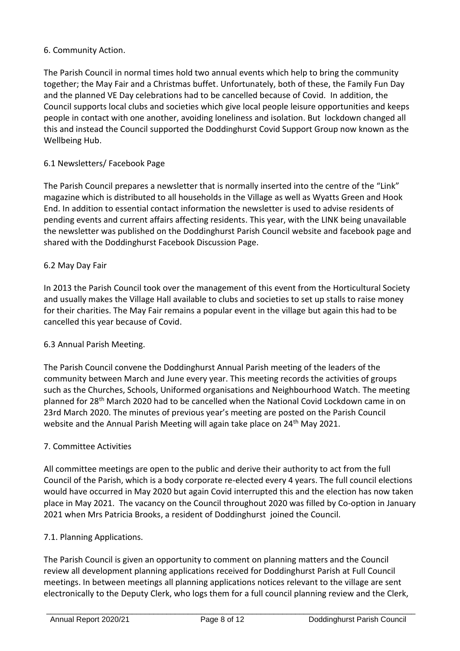# 6. Community Action.

The Parish Council in normal times hold two annual events which help to bring the community together; the May Fair and a Christmas buffet. Unfortunately, both of these, the Family Fun Day and the planned VE Day celebrations had to be cancelled because of Covid. In addition, the Council supports local clubs and societies which give local people leisure opportunities and keeps people in contact with one another, avoiding loneliness and isolation. But lockdown changed all this and instead the Council supported the Doddinghurst Covid Support Group now known as the Wellbeing Hub.

# 6.1 Newsletters/ Facebook Page

The Parish Council prepares a newsletter that is normally inserted into the centre of the "Link" magazine which is distributed to all households in the Village as well as Wyatts Green and Hook End. In addition to essential contact information the newsletter is used to advise residents of pending events and current affairs affecting residents. This year, with the LINK being unavailable the newsletter was published on the Doddinghurst Parish Council website and facebook page and shared with the Doddinghurst Facebook Discussion Page.

# 6.2 May Day Fair

In 2013 the Parish Council took over the management of this event from the Horticultural Society and usually makes the Village Hall available to clubs and societies to set up stalls to raise money for their charities. The May Fair remains a popular event in the village but again this had to be cancelled this year because of Covid.

# 6.3 Annual Parish Meeting.

The Parish Council convene the Doddinghurst Annual Parish meeting of the leaders of the community between March and June every year. This meeting records the activities of groups such as the Churches, Schools, Uniformed organisations and Neighbourhood Watch. The meeting planned for 28th March 2020 had to be cancelled when the National Covid Lockdown came in on 23rd March 2020. The minutes of previous year's meeting are posted on the Parish Council website and the Annual Parish Meeting will again take place on 24<sup>th</sup> May 2021.

# 7. Committee Activities

All committee meetings are open to the public and derive their authority to act from the full Council of the Parish, which is a body corporate re-elected every 4 years. The full council elections would have occurred in May 2020 but again Covid interrupted this and the election has now taken place in May 2021. The vacancy on the Council throughout 2020 was filled by Co-option in January 2021 when Mrs Patricia Brooks, a resident of Doddinghurst joined the Council.

#### 7.1. Planning Applications.

The Parish Council is given an opportunity to comment on planning matters and the Council review all development planning applications received for Doddinghurst Parish at Full Council meetings. In between meetings all planning applications notices relevant to the village are sent electronically to the Deputy Clerk, who logs them for a full council planning review and the Clerk,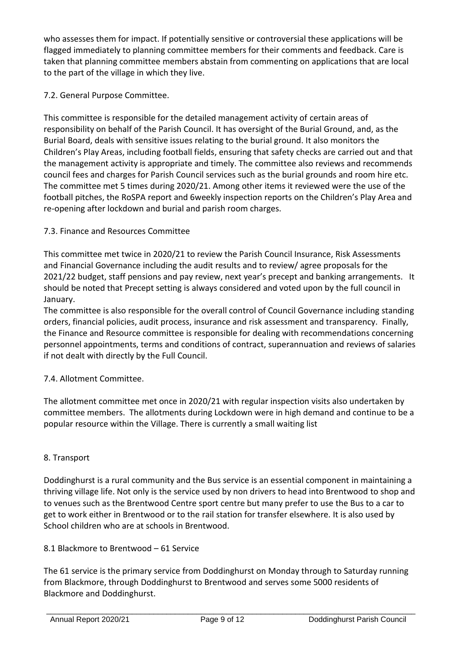who assesses them for impact. If potentially sensitive or controversial these applications will be flagged immediately to planning committee members for their comments and feedback. Care is taken that planning committee members abstain from commenting on applications that are local to the part of the village in which they live.

# 7.2. General Purpose Committee.

This committee is responsible for the detailed management activity of certain areas of responsibility on behalf of the Parish Council. It has oversight of the Burial Ground, and, as the Burial Board, deals with sensitive issues relating to the burial ground. It also monitors the Children's Play Areas, including football fields, ensuring that safety checks are carried out and that the management activity is appropriate and timely. The committee also reviews and recommends council fees and charges for Parish Council services such as the burial grounds and room hire etc. The committee met 5 times during 2020/21. Among other items it reviewed were the use of the football pitches, the RoSPA report and 6weekly inspection reports on the Children's Play Area and re-opening after lockdown and burial and parish room charges.

# 7.3. Finance and Resources Committee

This committee met twice in 2020/21 to review the Parish Council Insurance, Risk Assessments and Financial Governance including the audit results and to review/ agree proposals for the 2021/22 budget, staff pensions and pay review, next year's precept and banking arrangements. It should be noted that Precept setting is always considered and voted upon by the full council in January.

The committee is also responsible for the overall control of Council Governance including standing orders, financial policies, audit process, insurance and risk assessment and transparency. Finally, the Finance and Resource committee is responsible for dealing with recommendations concerning personnel appointments, terms and conditions of contract, superannuation and reviews of salaries if not dealt with directly by the Full Council.

# 7.4. Allotment Committee.

The allotment committee met once in 2020/21 with regular inspection visits also undertaken by committee members. The allotments during Lockdown were in high demand and continue to be a popular resource within the Village. There is currently a small waiting list

# 8. Transport

Doddinghurst is a rural community and the Bus service is an essential component in maintaining a thriving village life. Not only is the service used by non drivers to head into Brentwood to shop and to venues such as the Brentwood Centre sport centre but many prefer to use the Bus to a car to get to work either in Brentwood or to the rail station for transfer elsewhere. It is also used by School children who are at schools in Brentwood.

# 8.1 Blackmore to Brentwood – 61 Service

The 61 service is the primary service from Doddinghurst on Monday through to Saturday running from Blackmore, through Doddinghurst to Brentwood and serves some 5000 residents of Blackmore and Doddinghurst.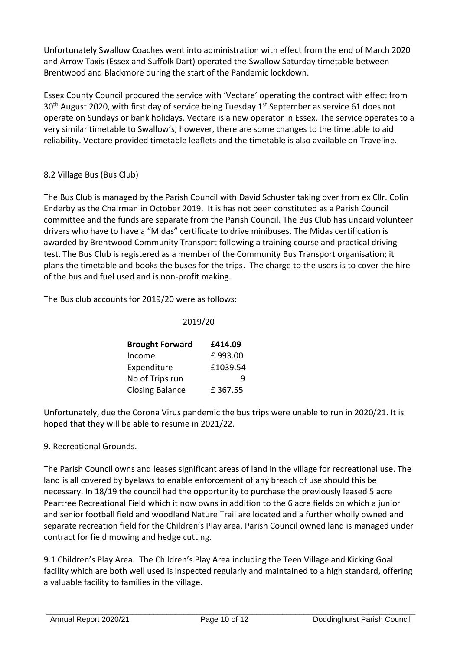Unfortunately Swallow Coaches went into administration with effect from the end of March 2020 and Arrow Taxis (Essex and Suffolk Dart) operated the Swallow Saturday timetable between Brentwood and Blackmore during the start of the Pandemic lockdown.

Essex County Council procured the service with 'Vectare' operating the contract with effect from 30<sup>th</sup> August 2020, with first day of service being Tuesday 1<sup>st</sup> September as service 61 does not operate on Sundays or bank holidays. Vectare is a new operator in Essex. The service operates to a very similar timetable to Swallow's, however, there are some changes to the timetable to aid reliability. Vectare provided timetable leaflets and the timetable is also available on Traveline.

# 8.2 Village Bus (Bus Club)

The Bus Club is managed by the Parish Council with David Schuster taking over from ex Cllr. Colin Enderby as the Chairman in October 2019. It is has not been constituted as a Parish Council committee and the funds are separate from the Parish Council. The Bus Club has unpaid volunteer drivers who have to have a "Midas" certificate to drive minibuses. The Midas certification is awarded by Brentwood Community Transport following a training course and practical driving test. The Bus Club is registered as a member of the Community Bus Transport organisation; it plans the timetable and books the buses for the trips. The charge to the users is to cover the hire of the bus and fuel used and is non-profit making.

The Bus club accounts for 2019/20 were as follows:

### 2019/20

| <b>Brought Forward</b> | £414.09  |
|------------------------|----------|
| Income                 | £993.00  |
| Expenditure            | £1039.54 |
| No of Trips run        | q        |
| <b>Closing Balance</b> | £367.55  |

Unfortunately, due the Corona Virus pandemic the bus trips were unable to run in 2020/21. It is hoped that they will be able to resume in 2021/22.

# 9. Recreational Grounds.

The Parish Council owns and leases significant areas of land in the village for recreational use. The land is all covered by byelaws to enable enforcement of any breach of use should this be necessary. In 18/19 the council had the opportunity to purchase the previously leased 5 acre Peartree Recreational Field which it now owns in addition to the 6 acre fields on which a junior and senior football field and woodland Nature Trail are located and a further wholly owned and separate recreation field for the Children's Play area. Parish Council owned land is managed under contract for field mowing and hedge cutting.

9.1 Children's Play Area. The Children's Play Area including the Teen Village and Kicking Goal facility which are both well used is inspected regularly and maintained to a high standard, offering a valuable facility to families in the village.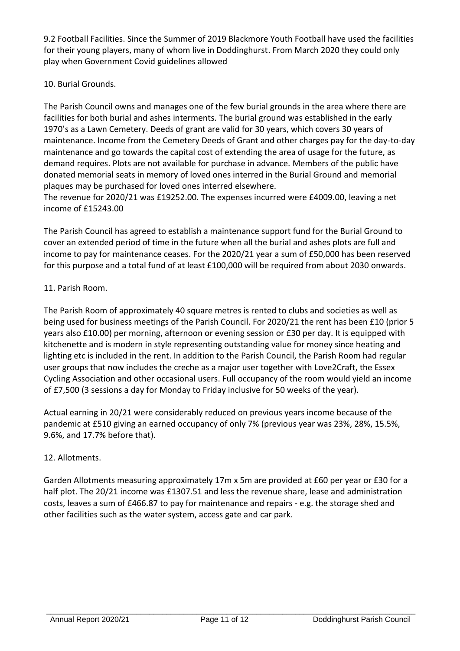9.2 Football Facilities. Since the Summer of 2019 Blackmore Youth Football have used the facilities for their young players, many of whom live in Doddinghurst. From March 2020 they could only play when Government Covid guidelines allowed

# 10. Burial Grounds.

The Parish Council owns and manages one of the few burial grounds in the area where there are facilities for both burial and ashes interments. The burial ground was established in the early 1970's as a Lawn Cemetery. Deeds of grant are valid for 30 years, which covers 30 years of maintenance. Income from the Cemetery Deeds of Grant and other charges pay for the day-to-day maintenance and go towards the capital cost of extending the area of usage for the future, as demand requires. Plots are not available for purchase in advance. Members of the public have donated memorial seats in memory of loved ones interred in the Burial Ground and memorial plaques may be purchased for loved ones interred elsewhere.

The revenue for 2020/21 was £19252.00. The expenses incurred were £4009.00, leaving a net income of £15243.00

The Parish Council has agreed to establish a maintenance support fund for the Burial Ground to cover an extended period of time in the future when all the burial and ashes plots are full and income to pay for maintenance ceases. For the 2020/21 year a sum of £50,000 has been reserved for this purpose and a total fund of at least £100,000 will be required from about 2030 onwards.

# 11. Parish Room.

The Parish Room of approximately 40 square metres is rented to clubs and societies as well as being used for business meetings of the Parish Council. For 2020/21 the rent has been £10 (prior 5 years also £10.00) per morning, afternoon or evening session or £30 per day. It is equipped with kitchenette and is modern in style representing outstanding value for money since heating and lighting etc is included in the rent. In addition to the Parish Council, the Parish Room had regular user groups that now includes the creche as a major user together with Love2Craft, the Essex Cycling Association and other occasional users. Full occupancy of the room would yield an income of £7,500 (3 sessions a day for Monday to Friday inclusive for 50 weeks of the year).

Actual earning in 20/21 were considerably reduced on previous years income because of the pandemic at £510 giving an earned occupancy of only 7% (previous year was 23%, 28%, 15.5%, 9.6%, and 17.7% before that).

# 12. Allotments.

Garden Allotments measuring approximately 17m x 5m are provided at £60 per year or £30 for a half plot. The 20/21 income was £1307.51 and less the revenue share, lease and administration costs, leaves a sum of £466.87 to pay for maintenance and repairs - e.g. the storage shed and other facilities such as the water system, access gate and car park.